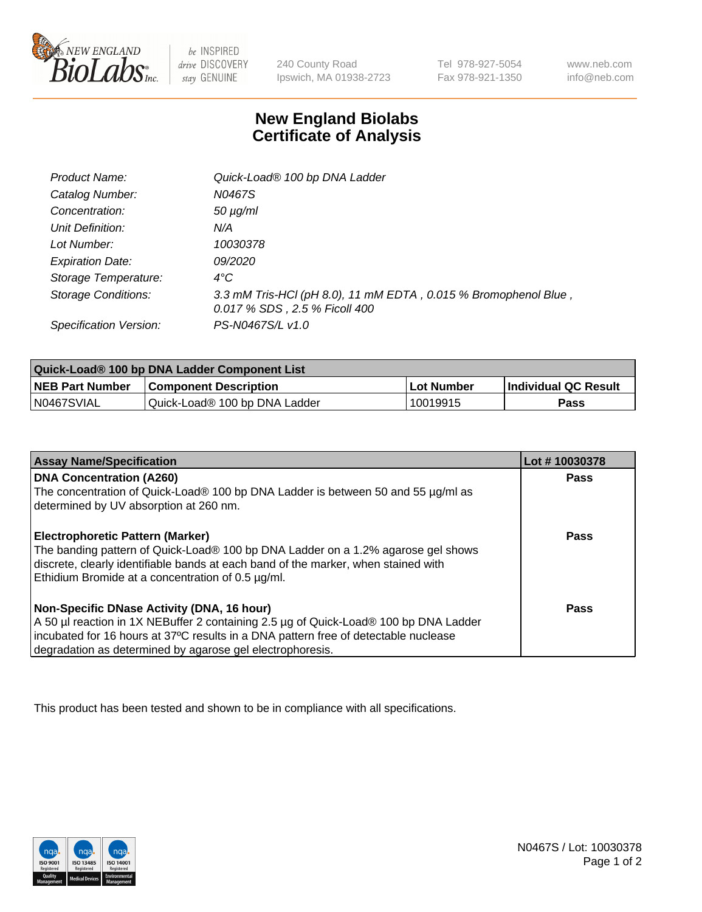

 $be$  INSPIRED drive DISCOVERY stay GENUINE

240 County Road Ipswich, MA 01938-2723 Tel 978-927-5054 Fax 978-921-1350 www.neb.com info@neb.com

## **New England Biolabs Certificate of Analysis**

| <b>Product Name:</b>       | Quick-Load® 100 bp DNA Ladder                                                                    |
|----------------------------|--------------------------------------------------------------------------------------------------|
| Catalog Number:            | N0467S                                                                                           |
| Concentration:             | $50 \mu g/ml$                                                                                    |
| Unit Definition:           | N/A                                                                                              |
| Lot Number:                | 10030378                                                                                         |
| <b>Expiration Date:</b>    | <i>09/2020</i>                                                                                   |
| Storage Temperature:       | $4^{\circ}$ C                                                                                    |
| <b>Storage Conditions:</b> | 3.3 mM Tris-HCl (pH 8.0), 11 mM EDTA, 0.015 % Bromophenol Blue,<br>0.017 % SDS, 2.5 % Ficoll 400 |
| Specification Version:     | PS-N0467S/L v1.0                                                                                 |

| Quick-Load® 100 bp DNA Ladder Component List |                               |                   |                             |  |
|----------------------------------------------|-------------------------------|-------------------|-----------------------------|--|
| <b>NEB Part Number</b>                       | <b>Component Description</b>  | <b>Lot Number</b> | <b>Individual QC Result</b> |  |
| N0467SVIAL                                   | Quick-Load® 100 bp DNA Ladder | 10019915          | Pass                        |  |

| <b>Assay Name/Specification</b>                                                                                                                                                                                                                                                        | Lot #10030378 |
|----------------------------------------------------------------------------------------------------------------------------------------------------------------------------------------------------------------------------------------------------------------------------------------|---------------|
| <b>DNA Concentration (A260)</b><br>The concentration of Quick-Load® 100 bp DNA Ladder is between 50 and 55 µg/ml as<br>determined by UV absorption at 260 nm.                                                                                                                          | <b>Pass</b>   |
| <b>Electrophoretic Pattern (Marker)</b><br>The banding pattern of Quick-Load® 100 bp DNA Ladder on a 1.2% agarose gel shows<br>discrete, clearly identifiable bands at each band of the marker, when stained with<br>Ethidium Bromide at a concentration of 0.5 µg/ml.                 | Pass          |
| Non-Specific DNase Activity (DNA, 16 hour)<br>A 50 µl reaction in 1X NEBuffer 2 containing 2.5 µg of Quick-Load® 100 bp DNA Ladder<br>incubated for 16 hours at 37°C results in a DNA pattern free of detectable nuclease<br>degradation as determined by agarose gel electrophoresis. | Pass          |

This product has been tested and shown to be in compliance with all specifications.